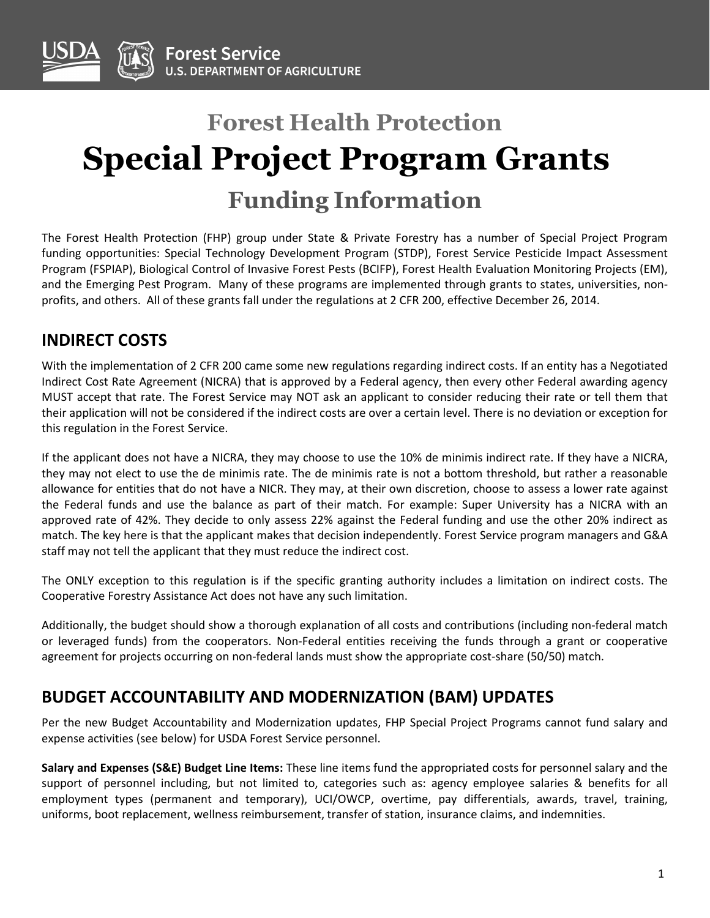

# **Forest Health Protection Special Project Program Grants Funding Information**

The Forest Health Protection (FHP) group under State & Private Forestry has a number of Special Project Program funding opportunities: Special Technology Development Program (STDP), Forest Service Pesticide Impact Assessment Program (FSPIAP), Biological Control of Invasive Forest Pests (BCIFP), Forest Health Evaluation Monitoring Projects (EM), and the Emerging Pest Program. Many of these programs are implemented through grants to states, universities, nonprofits, and others. All of these grants fall under the regulations at 2 CFR 200, effective December 26, 2014.

# **INDIRECT COSTS**

With the implementation of 2 CFR 200 came some new regulations regarding indirect costs. If an entity has a Negotiated Indirect Cost Rate Agreement (NICRA) that is approved by a Federal agency, then every other Federal awarding agency MUST accept that rate. The Forest Service may NOT ask an applicant to consider reducing their rate or tell them that their application will not be considered if the indirect costs are over a certain level. There is no deviation or exception for this regulation in the Forest Service.

If the applicant does not have a NICRA, they may choose to use the 10% de minimis indirect rate. If they have a NICRA, they may not elect to use the de minimis rate. The de minimis rate is not a bottom threshold, but rather a reasonable allowance for entities that do not have a NICR. They may, at their own discretion, choose to assess a lower rate against the Federal funds and use the balance as part of their match. For example: Super University has a NICRA with an approved rate of 42%. They decide to only assess 22% against the Federal funding and use the other 20% indirect as match. The key here is that the applicant makes that decision independently. Forest Service program managers and G&A staff may not tell the applicant that they must reduce the indirect cost.

The ONLY exception to this regulation is if the specific granting authority includes a limitation on indirect costs. The Cooperative Forestry Assistance Act does not have any such limitation.

Additionally, the budget should show a thorough explanation of all costs and contributions (including non-federal match or leveraged funds) from the cooperators. Non-Federal entities receiving the funds through a grant or cooperative agreement for projects occurring on non-federal lands must show the appropriate cost-share (50/50) match.

### **BUDGET ACCOUNTABILITY AND MODERNIZATION (BAM) UPDATES**

Per the new Budget Accountability and Modernization updates, FHP Special Project Programs cannot fund salary and expense activities (see below) for USDA Forest Service personnel.

**Salary and Expenses (S&E) Budget Line Items:** These line items fund the appropriated costs for personnel salary and the support of personnel including, but not limited to, categories such as: agency employee salaries & benefits for all employment types (permanent and temporary), UCI/OWCP, overtime, pay differentials, awards, travel, training, uniforms, boot replacement, wellness reimbursement, transfer of station, insurance claims, and indemnities.